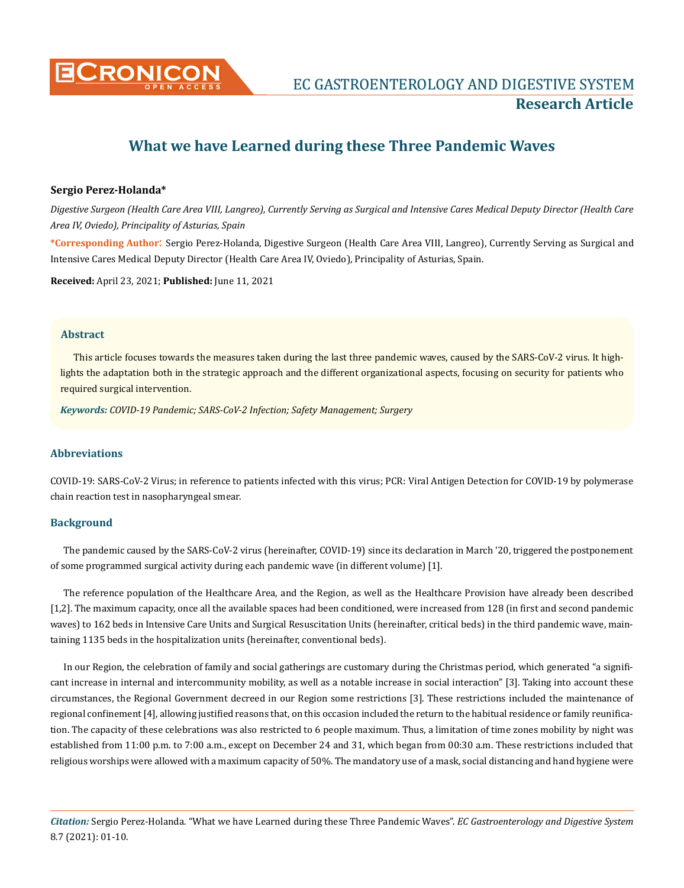

# **What we have Learned during these Three Pandemic Waves**

## **Sergio Perez-Holanda\***

*Digestive Surgeon (Health Care Area VIII, Langreo), Currently Serving as Surgical and Intensive Cares Medical Deputy Director (Health Care Area IV, Oviedo), Principality of Asturias, Spain*

**\*Corresponding Author**: Sergio Perez-Holanda, Digestive Surgeon (Health Care Area VIII, Langreo), Currently Serving as Surgical and Intensive Cares Medical Deputy Director (Health Care Area IV, Oviedo), Principality of Asturias, Spain.

**Received:** April 23, 2021; **Published:** June 11, 2021

#### **Abstract**

This article focuses towards the measures taken during the last three pandemic waves, caused by the SARS-CoV-2 virus. It highlights the adaptation both in the strategic approach and the different organizational aspects, focusing on security for patients who required surgical intervention.

*Keywords: COVID-19 Pandemic; SARS-CoV-2 Infection; Safety Management; Surgery* 

## **Abbreviations**

COVID-19: SARS-CoV-2 Virus; in reference to patients infected with this virus; PCR: Viral Antigen Detection for COVID-19 by polymerase chain reaction test in nasopharyngeal smear.

## **Background**

The pandemic caused by the SARS-CoV-2 virus (hereinafter, COVID-19) since its declaration in March '20, triggered the postponement of some programmed surgical activity during each pandemic wave (in different volume) [1].

The reference population of the Healthcare Area, and the Region, as well as the Healthcare Provision have already been described [1,2]. The maximum capacity, once all the available spaces had been conditioned, were increased from 128 (in first and second pandemic waves) to 162 beds in Intensive Care Units and Surgical Resuscitation Units (hereinafter, critical beds) in the third pandemic wave, maintaining 1135 beds in the hospitalization units (hereinafter, conventional beds).

In our Region, the celebration of family and social gatherings are customary during the Christmas period, which generated "a significant increase in internal and intercommunity mobility, as well as a notable increase in social interaction" [3]. Taking into account these circumstances, the Regional Government decreed in our Region some restrictions [3]. These restrictions included the maintenance of regional confinement [4], allowing justified reasons that, on this occasion included the return to the habitual residence or family reunification. The capacity of these celebrations was also restricted to 6 people maximum. Thus, a limitation of time zones mobility by night was established from 11:00 p.m. to 7:00 a.m., except on December 24 and 31, which began from 00:30 a.m. These restrictions included that religious worships were allowed with a maximum capacity of 50%. The mandatory use of a mask, social distancing and hand hygiene were

*Citation:* Sergio Perez-Holanda*.* "What we have Learned during these Three Pandemic Waves". *EC Gastroenterology and Digestive System*  8.7 (2021): 01-10.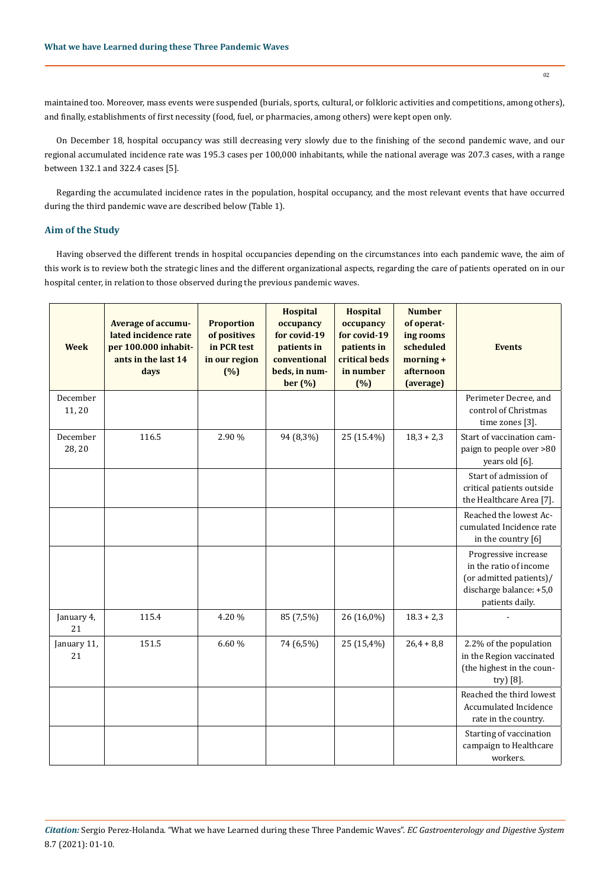maintained too. Moreover, mass events were suspended (burials, sports, cultural, or folkloric activities and competitions, among others), and finally, establishments of first necessity (food, fuel, or pharmacies, among others) were kept open only.

On December 18, hospital occupancy was still decreasing very slowly due to the finishing of the second pandemic wave, and our regional accumulated incidence rate was 195.3 cases per 100,000 inhabitants, while the national average was 207.3 cases, with a range between 132.1 and 322.4 cases [5].

Regarding the accumulated incidence rates in the population, hospital occupancy, and the most relevant events that have occurred during the third pandemic wave are described below (Table 1).

## **Aim of the Study**

Having observed the different trends in hospital occupancies depending on the circumstances into each pandemic wave, the aim of this work is to review both the strategic lines and the different organizational aspects, regarding the care of patients operated on in our hospital center, in relation to those observed during the previous pandemic waves.

| <b>Week</b>        | Average of accumu-<br>lated incidence rate<br>per 100.000 inhabit-<br>ants in the last 14<br>days | <b>Proportion</b><br>of positives<br>in PCR test<br>in our region<br>(%) | <b>Hospital</b><br>occupancy<br>for covid-19<br>patients in<br>conventional<br>beds, in num-<br>ber (%) | <b>Hospital</b><br>occupancy<br>for covid-19<br>patients in<br>critical beds<br>in number<br>(%) | <b>Number</b><br>of operat-<br>ing rooms<br>scheduled<br>morning +<br>afternoon<br>(average) | <b>Events</b>                                                                                                           |
|--------------------|---------------------------------------------------------------------------------------------------|--------------------------------------------------------------------------|---------------------------------------------------------------------------------------------------------|--------------------------------------------------------------------------------------------------|----------------------------------------------------------------------------------------------|-------------------------------------------------------------------------------------------------------------------------|
| December<br>11,20  |                                                                                                   |                                                                          |                                                                                                         |                                                                                                  |                                                                                              | Perimeter Decree, and<br>control of Christmas<br>time zones [3].                                                        |
| December<br>28, 20 | 116.5                                                                                             | 2.90 %                                                                   | 94 (8,3%)                                                                                               | 25 (15.4%)                                                                                       | $18,3 + 2,3$                                                                                 | Start of vaccination cam-<br>paign to people over >80<br>years old [6].                                                 |
|                    |                                                                                                   |                                                                          |                                                                                                         |                                                                                                  |                                                                                              | Start of admission of<br>critical patients outside<br>the Healthcare Area [7].                                          |
|                    |                                                                                                   |                                                                          |                                                                                                         |                                                                                                  |                                                                                              | Reached the lowest Ac-<br>cumulated Incidence rate<br>in the country [6]                                                |
|                    |                                                                                                   |                                                                          |                                                                                                         |                                                                                                  |                                                                                              | Progressive increase<br>in the ratio of income<br>(or admitted patients)/<br>discharge balance: +5,0<br>patients daily. |
| January 4,<br>21   | 115.4                                                                                             | 4.20%                                                                    | 85 (7,5%)                                                                                               | 26 (16,0%)                                                                                       | $18.3 + 2.3$                                                                                 |                                                                                                                         |
| January 11,<br>21  | 151.5                                                                                             | 6.60%                                                                    | 74 (6,5%)                                                                                               | 25 (15,4%)                                                                                       | $26,4 + 8,8$                                                                                 | 2.2% of the population<br>in the Region vaccinated<br>(the highest in the coun-<br>try) [8].                            |
|                    |                                                                                                   |                                                                          |                                                                                                         |                                                                                                  |                                                                                              | Reached the third lowest<br>Accumulated Incidence<br>rate in the country.                                               |
|                    |                                                                                                   |                                                                          |                                                                                                         |                                                                                                  |                                                                                              | Starting of vaccination<br>campaign to Healthcare<br>workers.                                                           |

*Citation:* Sergio Perez-Holanda*.* "What we have Learned during these Three Pandemic Waves". *EC Gastroenterology and Digestive System*  8.7 (2021): 01-10.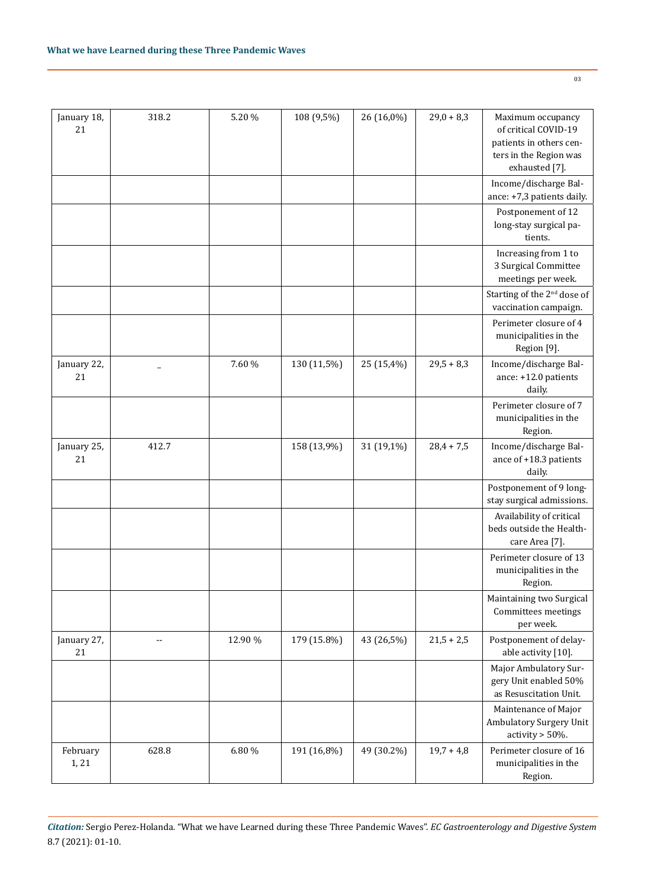| January 18,<br>21 | 318.2 | 5.20%   | 108 (9,5%)  | 26 (16,0%) | $29,0 + 8,3$ | Maximum occupancy<br>of critical COVID-19<br>patients in others cen-<br>ters in the Region was<br>exhausted [7]. |
|-------------------|-------|---------|-------------|------------|--------------|------------------------------------------------------------------------------------------------------------------|
|                   |       |         |             |            |              | Income/discharge Bal-<br>ance: +7,3 patients daily.                                                              |
|                   |       |         |             |            |              | Postponement of 12<br>long-stay surgical pa-<br>tients.                                                          |
|                   |       |         |             |            |              | Increasing from 1 to<br>3 Surgical Committee<br>meetings per week.                                               |
|                   |       |         |             |            |              | Starting of the 2 <sup>nd</sup> dose of<br>vaccination campaign.                                                 |
|                   |       |         |             |            |              | Perimeter closure of 4<br>municipalities in the<br>Region [9].                                                   |
| January 22,<br>21 |       | 7.60 %  | 130 (11,5%) | 25 (15,4%) | $29,5 + 8,3$ | Income/discharge Bal-<br>ance: +12.0 patients<br>daily.                                                          |
|                   |       |         |             |            |              | Perimeter closure of 7<br>municipalities in the<br>Region.                                                       |
| January 25,<br>21 | 412.7 |         | 158 (13,9%) | 31 (19,1%) | $28,4 + 7,5$ | Income/discharge Bal-<br>ance of +18.3 patients<br>daily.                                                        |
|                   |       |         |             |            |              | Postponement of 9 long-<br>stay surgical admissions.                                                             |
|                   |       |         |             |            |              | Availability of critical<br>beds outside the Health-<br>care Area [7].                                           |
|                   |       |         |             |            |              | Perimeter closure of 13<br>municipalities in the<br>Region.                                                      |
|                   |       |         |             |            |              | Maintaining two Surgical<br>Committees meetings<br>per week.                                                     |
| January 27,<br>21 | --    | 12.90 % | 179 (15.8%) | 43 (26,5%) | $21,5 + 2,5$ | Postponement of delay-<br>able activity [10].                                                                    |
|                   |       |         |             |            |              | Major Ambulatory Sur-<br>gery Unit enabled 50%<br>as Resuscitation Unit.                                         |
|                   |       |         |             |            |              | Maintenance of Major<br>Ambulatory Surgery Unit<br>activity > 50%.                                               |
| February<br>1, 21 | 628.8 | 6.80 %  | 191 (16,8%) | 49 (30.2%) | $19,7 + 4,8$ | Perimeter closure of 16<br>municipalities in the                                                                 |

*Citation:* Sergio Perez-Holanda*.* "What we have Learned during these Three Pandemic Waves". *EC Gastroenterology and Digestive System*  8.7 (2021): 01-10.

03

Region.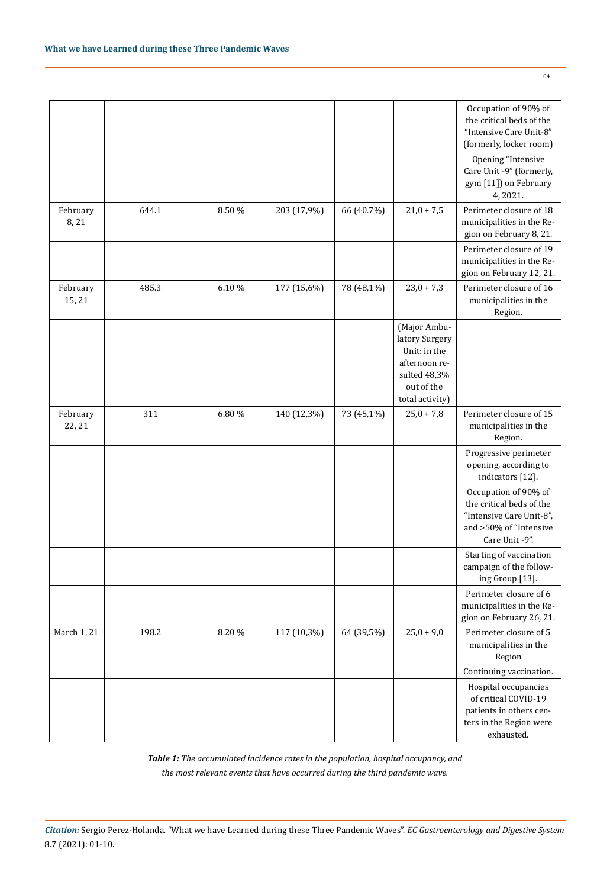|                    |       |        |             |            |                                                                                                                  | Occupation of 90% of<br>the critical beds of the<br>"Intensive Care Unit-8"<br>(formerly, locker room)                   |
|--------------------|-------|--------|-------------|------------|------------------------------------------------------------------------------------------------------------------|--------------------------------------------------------------------------------------------------------------------------|
|                    |       |        |             |            |                                                                                                                  | Opening "Intensive<br>Care Unit -9" (formerly,<br>gym [11]) on February<br>4,2021.                                       |
| February<br>8,21   | 644.1 | 8.50 % | 203 (17,9%) | 66 (40.7%) | $21,0 + 7,5$                                                                                                     | Perimeter closure of 18<br>municipalities in the Re-<br>gion on February 8, 21.                                          |
|                    |       |        |             |            |                                                                                                                  | Perimeter closure of 19<br>municipalities in the Re-<br>gion on February 12, 21.                                         |
| February<br>15, 21 | 485.3 | 6.10%  | 177 (15,6%) | 78 (48,1%) | $23,0 + 7,3$                                                                                                     | Perimeter closure of 16<br>municipalities in the<br>Region.                                                              |
|                    |       |        |             |            | (Major Ambu-<br>latory Surgery<br>Unit: in the<br>afternoon re-<br>sulted 48,3%<br>out of the<br>total activity) |                                                                                                                          |
| February<br>22, 21 | 311   | 6.80 % | 140 (12,3%) | 73 (45,1%) | $25,0 + 7,8$                                                                                                     | Perimeter closure of 15<br>municipalities in the<br>Region.                                                              |
|                    |       |        |             |            |                                                                                                                  | Progressive perimeter<br>opening, according to<br>indicators [12].                                                       |
|                    |       |        |             |            |                                                                                                                  | Occupation of 90% of<br>the critical beds of the<br>"Intensive Care Unit-8",<br>and >50% of "Intensive<br>Care Unit -9". |
|                    |       |        |             |            |                                                                                                                  | Starting of vaccination<br>campaign of the follow-<br>ing Group [13].                                                    |
|                    |       |        |             |            |                                                                                                                  | Perimeter closure of 6<br>municipalities in the Re-<br>gion on February 26, 21.                                          |
| March 1, 21        | 198.2 | 8.20%  | 117 (10,3%) | 64 (39,5%) | $25,0 + 9,0$                                                                                                     | Perimeter closure of 5<br>municipalities in the<br>Region                                                                |
|                    |       |        |             |            |                                                                                                                  | Continuing vaccination.                                                                                                  |
|                    |       |        |             |            |                                                                                                                  | Hospital occupancies<br>of critical COVID-19<br>patients in others cen-<br>ters in the Region were<br>exhausted.         |

*Table 1: The accumulated incidence rates in the population, hospital occupancy, and the most relevant events that have occurred during the third pandemic wave.*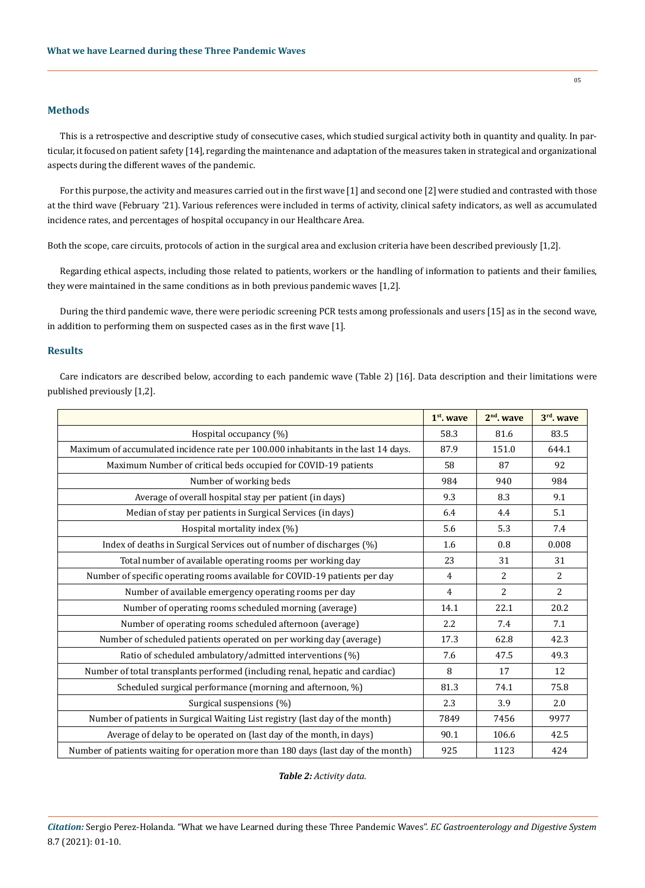## **Methods**

This is a retrospective and descriptive study of consecutive cases, which studied surgical activity both in quantity and quality. In particular, it focused on patient safety [14], regarding the maintenance and adaptation of the measures taken in strategical and organizational aspects during the different waves of the pandemic.

For this purpose, the activity and measures carried out in the first wave [1] and second one [2] were studied and contrasted with those at the third wave (February '21). Various references were included in terms of activity, clinical safety indicators, as well as accumulated incidence rates, and percentages of hospital occupancy in our Healthcare Area.

Both the scope, care circuits, protocols of action in the surgical area and exclusion criteria have been described previously [1,2].

Regarding ethical aspects, including those related to patients, workers or the handling of information to patients and their families, they were maintained in the same conditions as in both previous pandemic waves [1,2].

During the third pandemic wave, there were periodic screening PCR tests among professionals and users [15] as in the second wave, in addition to performing them on suspected cases as in the first wave [1].

#### **Results**

Care indicators are described below, according to each pandemic wave (Table 2) [16]. Data description and their limitations were published previously [1,2].

|                                                                                     | 1 <sup>st</sup> , wave | $2nd$ . wave   | $3rd$ . wave   |
|-------------------------------------------------------------------------------------|------------------------|----------------|----------------|
| Hospital occupancy (%)                                                              | 58.3                   | 81.6           | 83.5           |
| Maximum of accumulated incidence rate per 100.000 inhabitants in the last 14 days.  | 87.9                   | 151.0          | 644.1          |
| Maximum Number of critical beds occupied for COVID-19 patients                      | 58                     | 87             | 92             |
| Number of working beds                                                              | 984                    | 940            | 984            |
| Average of overall hospital stay per patient (in days)                              | 9.3                    | 8.3            | 9.1            |
| Median of stay per patients in Surgical Services (in days)                          | 6.4                    | 4.4            | 5.1            |
| Hospital mortality index (%)                                                        | 5.6                    | 5.3            | 7.4            |
| Index of deaths in Surgical Services out of number of discharges (%)                | 1.6                    | 0.8            | 0.008          |
| Total number of available operating rooms per working day                           | 23                     | 31             | 31             |
| Number of specific operating rooms available for COVID-19 patients per day          | $\overline{4}$         | $\overline{2}$ | $\overline{2}$ |
| Number of available emergency operating rooms per day                               | 4                      | 2              | $\overline{2}$ |
| Number of operating rooms scheduled morning (average)                               | 14.1                   | 22.1           | 20.2           |
| Number of operating rooms scheduled afternoon (average)                             | 2.2                    | 7.4            | 7.1            |
| Number of scheduled patients operated on per working day (average)                  | 17.3                   | 62.8           | 42.3           |
| Ratio of scheduled ambulatory/admitted interventions (%)                            | 7.6                    | 47.5           | 49.3           |
| Number of total transplants performed (including renal, hepatic and cardiac)        | 8                      | 17             | 12             |
| Scheduled surgical performance (morning and afternoon, %)                           | 81.3                   | 74.1           | 75.8           |
| Surgical suspensions (%)                                                            | 2.3                    | 3.9            | 2.0            |
| Number of patients in Surgical Waiting List registry (last day of the month)        | 7849                   | 7456           | 9977           |
| Average of delay to be operated on (last day of the month, in days)                 | 90.1                   | 106.6          | 42.5           |
| Number of patients waiting for operation more than 180 days (last day of the month) | 925                    | 1123           | 424            |

*Table 2: Activity data.*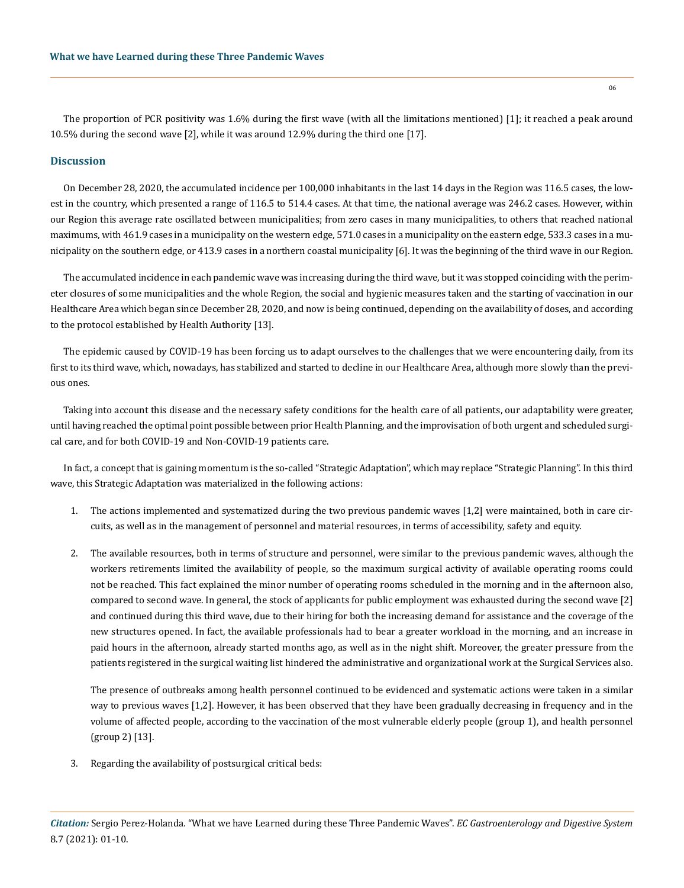The proportion of PCR positivity was 1.6% during the first wave (with all the limitations mentioned) [1]; it reached a peak around 10.5% during the second wave [2], while it was around 12.9% during the third one [17].

#### **Discussion**

On December 28, 2020, the accumulated incidence per 100,000 inhabitants in the last 14 days in the Region was 116.5 cases, the lowest in the country, which presented a range of 116.5 to 514.4 cases. At that time, the national average was 246.2 cases. However, within our Region this average rate oscillated between municipalities; from zero cases in many municipalities, to others that reached national maximums, with 461.9 cases in a municipality on the western edge, 571.0 cases in a municipality on the eastern edge, 533.3 cases in a municipality on the southern edge, or 413.9 cases in a northern coastal municipality [6]. It was the beginning of the third wave in our Region.

The accumulated incidence in each pandemic wave was increasing during the third wave, but it was stopped coinciding with the perimeter closures of some municipalities and the whole Region, the social and hygienic measures taken and the starting of vaccination in our Healthcare Area which began since December 28, 2020, and now is being continued, depending on the availability of doses, and according to the protocol established by Health Authority [13].

The epidemic caused by COVID-19 has been forcing us to adapt ourselves to the challenges that we were encountering daily, from its first to its third wave, which, nowadays, has stabilized and started to decline in our Healthcare Area, although more slowly than the previous ones.

Taking into account this disease and the necessary safety conditions for the health care of all patients, our adaptability were greater, until having reached the optimal point possible between prior Health Planning, and the improvisation of both urgent and scheduled surgical care, and for both COVID-19 and Non-COVID-19 patients care.

In fact, a concept that is gaining momentum is the so-called "Strategic Adaptation", which may replace "Strategic Planning". In this third wave, this Strategic Adaptation was materialized in the following actions:

- 1. The actions implemented and systematized during the two previous pandemic waves [1,2] were maintained, both in care circuits, as well as in the management of personnel and material resources, in terms of accessibility, safety and equity.
- 2. The available resources, both in terms of structure and personnel, were similar to the previous pandemic waves, although the workers retirements limited the availability of people, so the maximum surgical activity of available operating rooms could not be reached. This fact explained the minor number of operating rooms scheduled in the morning and in the afternoon also, compared to second wave. In general, the stock of applicants for public employment was exhausted during the second wave [2] and continued during this third wave, due to their hiring for both the increasing demand for assistance and the coverage of the new structures opened. In fact, the available professionals had to bear a greater workload in the morning, and an increase in paid hours in the afternoon, already started months ago, as well as in the night shift. Moreover, the greater pressure from the patients registered in the surgical waiting list hindered the administrative and organizational work at the Surgical Services also.

The presence of outbreaks among health personnel continued to be evidenced and systematic actions were taken in a similar way to previous waves [1,2]. However, it has been observed that they have been gradually decreasing in frequency and in the volume of affected people, according to the vaccination of the most vulnerable elderly people (group 1), and health personnel (group 2) [13].

3. Regarding the availability of postsurgical critical beds: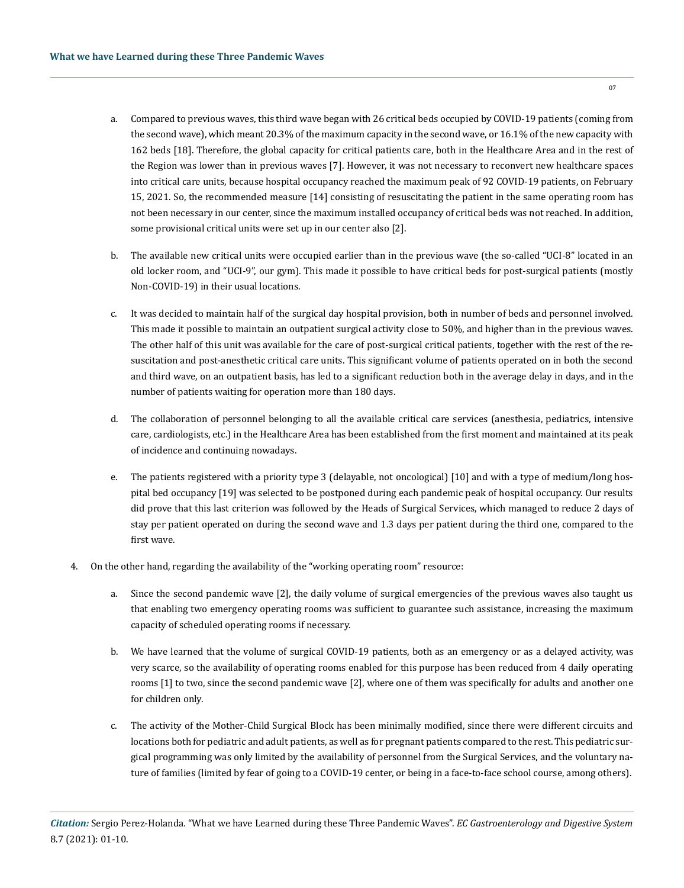- a. Compared to previous waves, this third wave began with 26 critical beds occupied by COVID-19 patients (coming from the second wave), which meant 20.3% of the maximum capacity in the second wave, or 16.1% of the new capacity with 162 beds [18]. Therefore, the global capacity for critical patients care, both in the Healthcare Area and in the rest of the Region was lower than in previous waves [7]. However, it was not necessary to reconvert new healthcare spaces into critical care units, because hospital occupancy reached the maximum peak of 92 COVID-19 patients, on February 15, 2021. So, the recommended measure [14] consisting of resuscitating the patient in the same operating room has not been necessary in our center, since the maximum installed occupancy of critical beds was not reached. In addition, some provisional critical units were set up in our center also [2].
- b. The available new critical units were occupied earlier than in the previous wave (the so-called "UCI-8" located in an old locker room, and "UCI-9", our gym). This made it possible to have critical beds for post-surgical patients (mostly Non-COVID-19) in their usual locations.
- c. It was decided to maintain half of the surgical day hospital provision, both in number of beds and personnel involved. This made it possible to maintain an outpatient surgical activity close to 50%, and higher than in the previous waves. The other half of this unit was available for the care of post-surgical critical patients, together with the rest of the resuscitation and post-anesthetic critical care units. This significant volume of patients operated on in both the second and third wave, on an outpatient basis, has led to a significant reduction both in the average delay in days, and in the number of patients waiting for operation more than 180 days.
- d. The collaboration of personnel belonging to all the available critical care services (anesthesia, pediatrics, intensive care, cardiologists, etc.) in the Healthcare Area has been established from the first moment and maintained at its peak of incidence and continuing nowadays.
- e. The patients registered with a priority type 3 (delayable, not oncological) [10] and with a type of medium/long hospital bed occupancy [19] was selected to be postponed during each pandemic peak of hospital occupancy. Our results did prove that this last criterion was followed by the Heads of Surgical Services, which managed to reduce 2 days of stay per patient operated on during the second wave and 1.3 days per patient during the third one, compared to the first wave.
- 4. On the other hand, regarding the availability of the "working operating room" resource:
	- a. Since the second pandemic wave [2], the daily volume of surgical emergencies of the previous waves also taught us that enabling two emergency operating rooms was sufficient to guarantee such assistance, increasing the maximum capacity of scheduled operating rooms if necessary.
	- b. We have learned that the volume of surgical COVID-19 patients, both as an emergency or as a delayed activity, was very scarce, so the availability of operating rooms enabled for this purpose has been reduced from 4 daily operating rooms [1] to two, since the second pandemic wave [2], where one of them was specifically for adults and another one for children only.
	- c. The activity of the Mother-Child Surgical Block has been minimally modified, since there were different circuits and locations both for pediatric and adult patients, as well as for pregnant patients compared to the rest. This pediatric surgical programming was only limited by the availability of personnel from the Surgical Services, and the voluntary nature of families (limited by fear of going to a COVID-19 center, or being in a face-to-face school course, among others).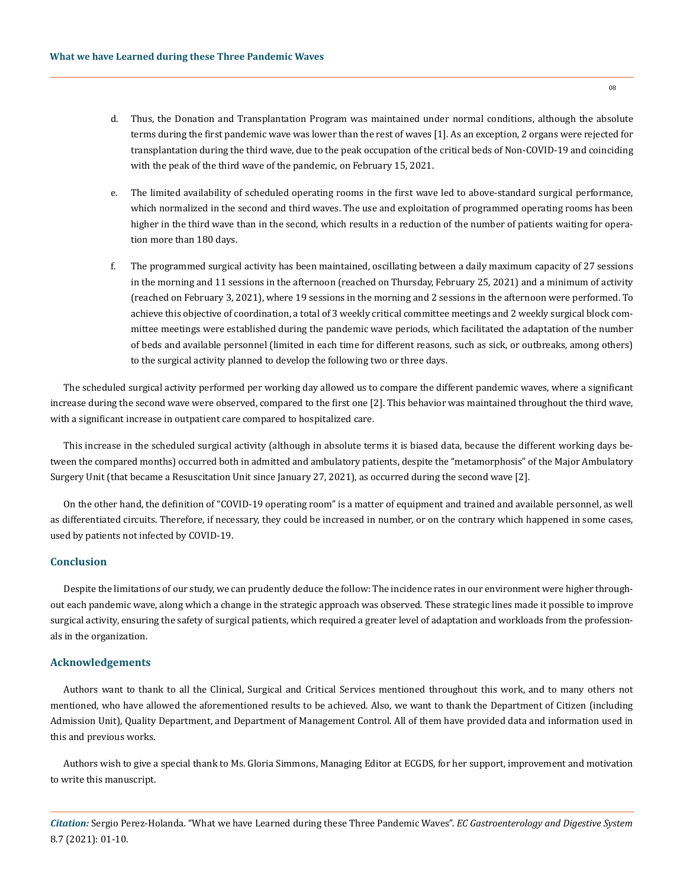- d. Thus, the Donation and Transplantation Program was maintained under normal conditions, although the absolute terms during the first pandemic wave was lower than the rest of waves [1]. As an exception, 2 organs were rejected for transplantation during the third wave, due to the peak occupation of the critical beds of Non-COVID-19 and coinciding with the peak of the third wave of the pandemic, on February 15, 2021.
- e. The limited availability of scheduled operating rooms in the first wave led to above-standard surgical performance, which normalized in the second and third waves. The use and exploitation of programmed operating rooms has been higher in the third wave than in the second, which results in a reduction of the number of patients waiting for operation more than 180 days.
- f. The programmed surgical activity has been maintained, oscillating between a daily maximum capacity of 27 sessions in the morning and 11 sessions in the afternoon (reached on Thursday, February 25, 2021) and a minimum of activity (reached on February 3, 2021), where 19 sessions in the morning and 2 sessions in the afternoon were performed. To achieve this objective of coordination, a total of 3 weekly critical committee meetings and 2 weekly surgical block committee meetings were established during the pandemic wave periods, which facilitated the adaptation of the number of beds and available personnel (limited in each time for different reasons, such as sick, or outbreaks, among others) to the surgical activity planned to develop the following two or three days.

The scheduled surgical activity performed per working day allowed us to compare the different pandemic waves, where a significant increase during the second wave were observed, compared to the first one [2]. This behavior was maintained throughout the third wave, with a significant increase in outpatient care compared to hospitalized care.

This increase in the scheduled surgical activity (although in absolute terms it is biased data, because the different working days between the compared months) occurred both in admitted and ambulatory patients, despite the "metamorphosis" of the Major Ambulatory Surgery Unit (that became a Resuscitation Unit since January 27, 2021), as occurred during the second wave [2].

On the other hand, the definition of "COVID-19 operating room" is a matter of equipment and trained and available personnel, as well as differentiated circuits. Therefore, if necessary, they could be increased in number, or on the contrary which happened in some cases, used by patients not infected by COVID-19.

#### **Conclusion**

Despite the limitations of our study, we can prudently deduce the follow: The incidence rates in our environment were higher throughout each pandemic wave, along which a change in the strategic approach was observed. These strategic lines made it possible to improve surgical activity, ensuring the safety of surgical patients, which required a greater level of adaptation and workloads from the professionals in the organization.

## **Acknowledgements**

Authors want to thank to all the Clinical, Surgical and Critical Services mentioned throughout this work, and to many others not mentioned, who have allowed the aforementioned results to be achieved. Also, we want to thank the Department of Citizen (including Admission Unit), Quality Department, and Department of Management Control. All of them have provided data and information used in this and previous works.

Authors wish to give a special thank to Ms. Gloria Simmons, Managing Editor at ECGDS, for her support, improvement and motivation to write this manuscript.

*Citation:* Sergio Perez-Holanda*.* "What we have Learned during these Three Pandemic Waves". *EC Gastroenterology and Digestive System*  8.7 (2021): 01-10.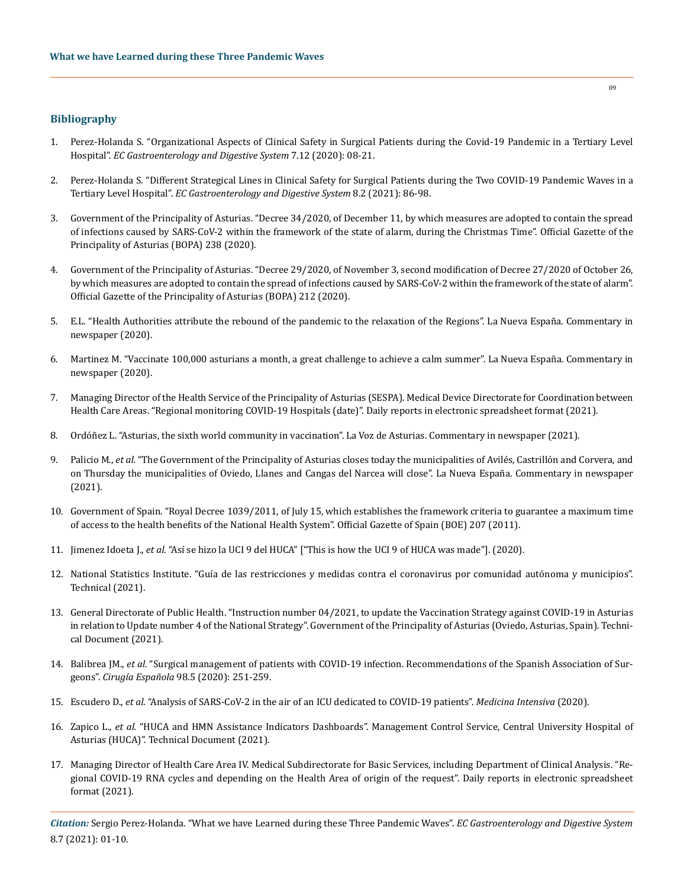## **Bibliography**

- 1. [Perez-Holanda S. "Organizational Aspects of Clinical Safety in Surgical Patients during the Covid-19 Pandemic in a Tertiary Level](https://www.ecronicon.com/ecgds/ECGDS-07-00667.php)  Hospital". *[EC Gastroenterology and Digestive System](https://www.ecronicon.com/ecgds/ECGDS-07-00667.php)* 7.12 (2020): 08-21.
- 2. [Perez-Holanda S. "Different Strategical Lines in Clinical Safety for Surgical Patients during the Two COVID-19 Pandemic Waves in a](https://www.ecronicon.com/ecgds/pdf/ECGDS-08-00695.pdf)  Tertiary Level Hospital". *[EC Gastroenterology and Digestive System](https://www.ecronicon.com/ecgds/pdf/ECGDS-08-00695.pdf)* 8.2 (2021): 86-98.
- 3. Government of the Principality of Asturias. "Decree 34/2020, of December 11, by which measures are adopted to contain the spread of infections caused by SARS-CoV-2 within the framework of the state of alarm, during the Christmas Time". Official Gazette of the Principality of Asturias (BOPA) 238 (2020).
- 4. Government of the Principality of Asturias. "Decree 29/2020, of November 3, second modification of Decree 27/2020 of October 26, by which measures are adopted to contain the spread of infections caused by SARS-CoV-2 within the framework of the state of alarm". Official Gazette of the Principality of Asturias (BOPA) 212 (2020).
- 5. E.L. "Health Authorities attribute the rebound of the pandemic to the relaxation of the Regions". La Nueva España. Commentary in newspaper (2020).
- 6. Martinez M. "Vaccinate 100,000 asturians a month, a great challenge to achieve a calm summer". La Nueva España. Commentary in newspaper (2020).
- 7. Managing Director of the Health Service of the Principality of Asturias (SESPA). Medical Device Directorate for Coordination between Health Care Areas. "Regional monitoring COVID-19 Hospitals (date)". Daily reports in electronic spreadsheet format (2021).
- 8. Ordóñez L. "Asturias, the sixth world community in vaccination". La Voz de Asturias. Commentary in newspaper (2021).
- 9. Palicio M., *et al.* "The Government of the Principality of Asturias closes today the municipalities of Avilés, Castrillón and Corvera, and on Thursday the municipalities of Oviedo, Llanes and Cangas del Narcea will close". La Nueva España. Commentary in newspaper (2021).
- 10. Government of Spain. "Royal Decree 1039/2011, of July 15, which establishes the framework criteria to guarantee a maximum time of access to the health benefits of the National Health System". Official Gazette of Spain (BOE) 207 (2011).
- 11. Jimenez Idoeta J., *et al*. "Así se hizo la UCI 9 del HUCA" ["This is how the UCI 9 of HUCA was made"]. (2020).
- 12. [National Statistics Institute. "Guía de las restricciones y medidas contra el coronavirus por comunidad autónoma y municipios".](https://www.rtve.es/noticias/20210518/mapa-confinamientos-espana-coronavirus-restricciones/2041269.shtml)  [Technical \(2021\).](https://www.rtve.es/noticias/20210518/mapa-confinamientos-espana-coronavirus-restricciones/2041269.shtml)
- 13. General Directorate of Public Health. "Instruction number 04/2021, to update the Vaccination Strategy against COVID-19 in Asturias in relation to Update number 4 of the National Strategy". Government of the Principality of Asturias (Oviedo, Asturias, Spain). Technical Document (2021).
- 14. Balibrea JM., *et al.* ["Surgical management of patients with COVID-19 infection. Recommendations of the Spanish Association of Sur](https://pubmed.ncbi.nlm.nih.gov/32252979/)geons". *Cirugía Española* [98.5 \(2020\): 251-259.](https://pubmed.ncbi.nlm.nih.gov/32252979/)
- 15. Escudero D., *et al.* ["Analysis of SARS-CoV-2 in the air of an ICU dedicated to COVID-19 patients".](https://www.medintensiva.org/es-analysis-sars-cov-2-in-air-an-articulo-S2173572721000229) *Medicina Intensiva* (2020).
- 16. Zapico L., *et al.* "HUCA and HMN Assistance Indicators Dashboards". Management Control Service, Central University Hospital of Asturias (HUCA)". Technical Document (2021).
- 17. Managing Director of Health Care Area IV. Medical Subdirectorate for Basic Services, including Department of Clinical Analysis. "Regional COVID-19 RNA cycles and depending on the Health Area of origin of the request". Daily reports in electronic spreadsheet format (2021).

*Citation:* Sergio Perez-Holanda*.* "What we have Learned during these Three Pandemic Waves". *EC Gastroenterology and Digestive System*  8.7 (2021): 01-10.